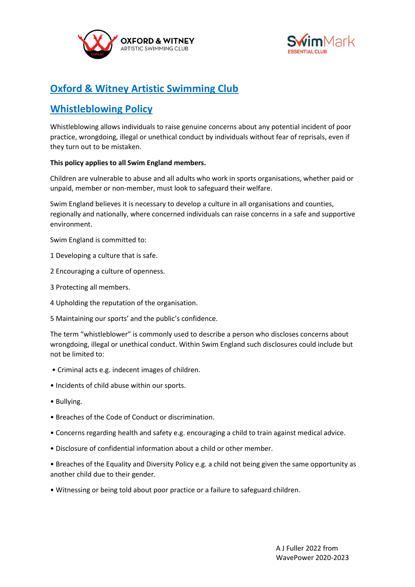



# **Oxford & Witney Artistic Swimming Club**

# **Whistleblowing Policy**

Whistleblowing allows individuals to raise genuine concerns about any potential incident of poor practice, wrongdoing, illegal or unethical conduct by individuals without fear of reprisals, even if they turn out to be mistaken.

## **This policy applies to all Swim England members.**

Children are vulnerable to abuse and all adults who work in sports organisations, whether paid or unpaid, member or non-member, must look to safeguard their welfare.

Swim England believes it is necessary to develop a culture in all organisations and counties, regionally and nationally, where concerned individuals can raise concerns in a safe and supportive environment.

Swim England is committed to:

- 1 Developing a culture that is safe.
- 2 Encouraging a culture of openness.
- 3 Protecting all members.
- 4 Upholding the reputation of the organisation.
- 5 Maintaining our sports' and the public's confidence.

The term "whistleblower" is commonly used to describe a person who discloses concerns about wrongdoing, illegal or unethical conduct. Within Swim England such disclosures could include but not be limited to:

- Criminal acts e.g. indecent images of children.
- Incidents of child abuse within our sports.
- Bullying.
- Breaches of the Code of Conduct or discrimination.
- Concerns regarding health and safety e.g. encouraging a child to train against medical advice.
- Disclosure of confidential information about a child or other member.
- Breaches of the Equality and Diversity Policy e.g. a child not being given the same opportunity as another child due to their gender.
- Witnessing or being told about poor practice or a failure to safeguard children.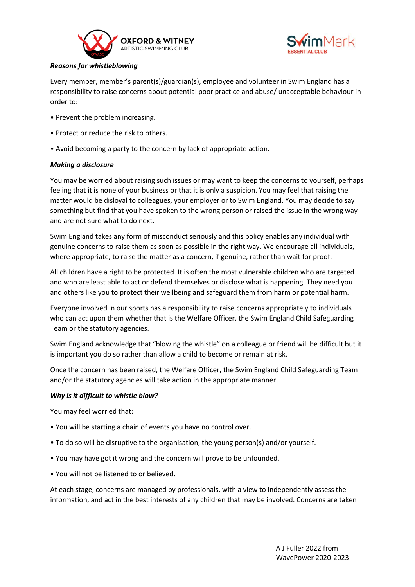



# *Reasons for whistleblowing*

Every member, member's parent(s)/guardian(s), employee and volunteer in Swim England has a responsibility to raise concerns about potential poor practice and abuse/ unacceptable behaviour in order to:

- Prevent the problem increasing.
- Protect or reduce the risk to others.
- Avoid becoming a party to the concern by lack of appropriate action.

## *Making a disclosure*

You may be worried about raising such issues or may want to keep the concerns to yourself, perhaps feeling that it is none of your business or that it is only a suspicion. You may feel that raising the matter would be disloyal to colleagues, your employer or to Swim England. You may decide to say something but find that you have spoken to the wrong person or raised the issue in the wrong way and are not sure what to do next.

Swim England takes any form of misconduct seriously and this policy enables any individual with genuine concerns to raise them as soon as possible in the right way. We encourage all individuals, where appropriate, to raise the matter as a concern, if genuine, rather than wait for proof.

All children have a right to be protected. It is often the most vulnerable children who are targeted and who are least able to act or defend themselves or disclose what is happening. They need you and others like you to protect their wellbeing and safeguard them from harm or potential harm.

Everyone involved in our sports has a responsibility to raise concerns appropriately to individuals who can act upon them whether that is the Welfare Officer, the Swim England Child Safeguarding Team or the statutory agencies.

Swim England acknowledge that "blowing the whistle" on a colleague or friend will be difficult but it is important you do so rather than allow a child to become or remain at risk.

Once the concern has been raised, the Welfare Officer, the Swim England Child Safeguarding Team and/or the statutory agencies will take action in the appropriate manner.

#### *Why is it difficult to whistle blow?*

You may feel worried that:

- You will be starting a chain of events you have no control over.
- To do so will be disruptive to the organisation, the young person(s) and/or yourself.
- You may have got it wrong and the concern will prove to be unfounded.
- You will not be listened to or believed.

At each stage, concerns are managed by professionals, with a view to independently assess the information, and act in the best interests of any children that may be involved. Concerns are taken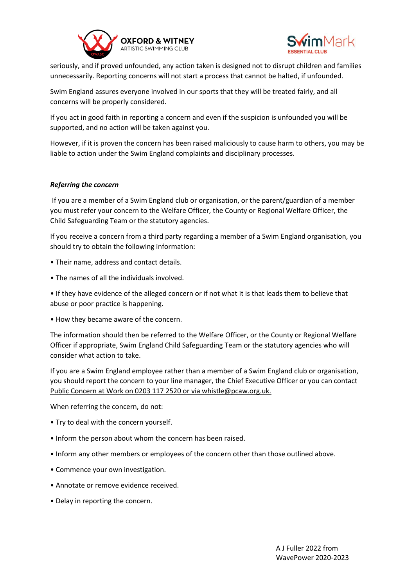



seriously, and if proved unfounded, any action taken is designed not to disrupt children and families unnecessarily. Reporting concerns will not start a process that cannot be halted, if unfounded.

Swim England assures everyone involved in our sports that they will be treated fairly, and all concerns will be properly considered.

If you act in good faith in reporting a concern and even if the suspicion is unfounded you will be supported, and no action will be taken against you.

However, if it is proven the concern has been raised maliciously to cause harm to others, you may be liable to action under the Swim England complaints and disciplinary processes.

## *Referring the concern*

If you are a member of a Swim England club or organisation, or the parent/guardian of a member you must refer your concern to the Welfare Officer, the County or Regional Welfare Officer, the Child Safeguarding Team or the statutory agencies.

If you receive a concern from a third party regarding a member of a Swim England organisation, you should try to obtain the following information:

- Their name, address and contact details.
- The names of all the individuals involved.

• If they have evidence of the alleged concern or if not what it is that leads them to believe that abuse or poor practice is happening.

• How they became aware of the concern.

The information should then be referred to the Welfare Officer, or the County or Regional Welfare Officer if appropriate, Swim England Child Safeguarding Team or the statutory agencies who will consider what action to take.

If you are a Swim England employee rather than a member of a Swim England club or organisation, you should report the concern to your line manager, the Chief Executive Officer or you can contact Public Concern at Work on 0203 117 2520 or via whistle@pcaw.org.uk.

When referring the concern, do not:

- Try to deal with the concern yourself.
- Inform the person about whom the concern has been raised.
- Inform any other members or employees of the concern other than those outlined above.
- Commence your own investigation.
- Annotate or remove evidence received.
- Delay in reporting the concern.